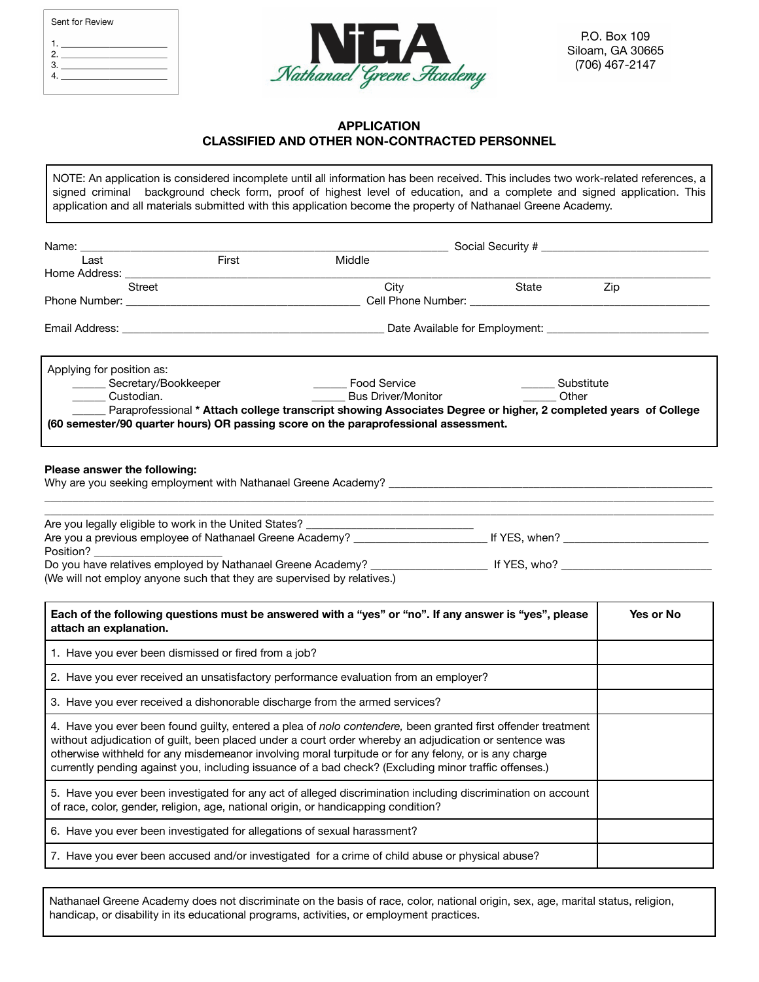| Sent for Review |  |
|-----------------|--|
| 2.<br>3.        |  |



#### **APPLICATION CLASSIFIED AND OTHER NON-CONTRACTED PERSONNEL**

NOTE: An application is considered incomplete until all information has been received. This includes two work-related references, a signed criminal background check form, proof of highest level of education, and a complete and signed application. This application and all materials submitted with this application become the property of Nathanael Greene Academy.

| Name:                                                                                                                                                                                                                                                                                                                                                                                                                                   |                                                   |                     |           |
|-----------------------------------------------------------------------------------------------------------------------------------------------------------------------------------------------------------------------------------------------------------------------------------------------------------------------------------------------------------------------------------------------------------------------------------------|---------------------------------------------------|---------------------|-----------|
| First<br>Last                                                                                                                                                                                                                                                                                                                                                                                                                           | Middle                                            |                     |           |
| Home Address: __<br>Street                                                                                                                                                                                                                                                                                                                                                                                                              |                                                   | State               | Zip       |
| Phone Number: Cell Phone Number:                                                                                                                                                                                                                                                                                                                                                                                                        | City                                              |                     |           |
|                                                                                                                                                                                                                                                                                                                                                                                                                                         |                                                   |                     |           |
| Email Address:                                                                                                                                                                                                                                                                                                                                                                                                                          |                                                   |                     |           |
| Applying for position as:<br>_______ Secretary/Bookkeeper<br>Custodian.<br>Paraprofessional * Attach college transcript showing Associates Degree or higher, 2 completed years of College<br>(60 semester/90 quarter hours) OR passing score on the paraprofessional assessment.                                                                                                                                                        | _______ Food Service<br><b>Bus Driver/Monitor</b> | Substitute<br>Other |           |
| Please answer the following:                                                                                                                                                                                                                                                                                                                                                                                                            |                                                   |                     |           |
| Are you legally eligible to work in the United States? _________________________                                                                                                                                                                                                                                                                                                                                                        |                                                   |                     |           |
| Position? <b>Example</b>                                                                                                                                                                                                                                                                                                                                                                                                                |                                                   |                     |           |
| (We will not employ anyone such that they are supervised by relatives.)                                                                                                                                                                                                                                                                                                                                                                 |                                                   |                     |           |
| Each of the following questions must be answered with a "yes" or "no". If any answer is "yes", please<br>attach an explanation.                                                                                                                                                                                                                                                                                                         |                                                   |                     | Yes or No |
| 1. Have you ever been dismissed or fired from a job?                                                                                                                                                                                                                                                                                                                                                                                    |                                                   |                     |           |
| 2. Have you ever received an unsatisfactory performance evaluation from an employer?                                                                                                                                                                                                                                                                                                                                                    |                                                   |                     |           |
| 3. Have you ever received a dishonorable discharge from the armed services?                                                                                                                                                                                                                                                                                                                                                             |                                                   |                     |           |
| 4. Have you ever been found guilty, entered a plea of nolo contendere, been granted first offender treatment<br>without adjudication of guilt, been placed under a court order whereby an adjudication or sentence was<br>otherwise withheld for any misdemeanor involving moral turpitude or for any felony, or is any charge<br>currently pending against you, including issuance of a bad check? (Excluding minor traffic offenses.) |                                                   |                     |           |
| 5. Have you ever been investigated for any act of alleged discrimination including discrimination on account<br>of race, color, gender, religion, age, national origin, or handicapping condition?                                                                                                                                                                                                                                      |                                                   |                     |           |
| 6. Have you ever been investigated for allegations of sexual harassment?                                                                                                                                                                                                                                                                                                                                                                |                                                   |                     |           |
| 7. Have you ever been accused and/or investigated for a crime of child abuse or physical abuse?                                                                                                                                                                                                                                                                                                                                         |                                                   |                     |           |

Nathanael Greene Academy does not discriminate on the basis of race, color, national origin, sex, age, marital status, religion, handicap, or disability in its educational programs, activities, or employment practices.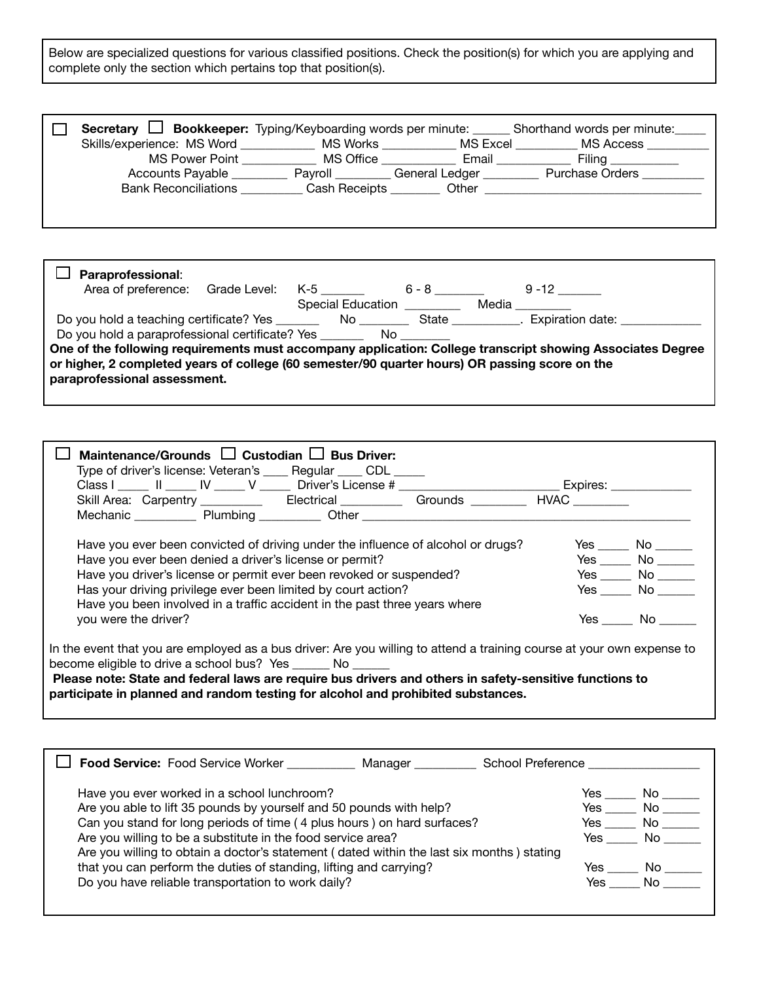Below are specialized questions for various classified positions. Check the position(s) for which you are applying and complete only the section which pertains top that position(s).

| Secretary $\Box$            |               |                | <b>Bookkeeper:</b> Typing/Keyboarding words per minute: _______ Shorthand words per minute: |
|-----------------------------|---------------|----------------|---------------------------------------------------------------------------------------------|
| Skills/experience: MS Word  | MS Works      | MS Excel       | MS Access                                                                                   |
| MS Power Point              | MS Office     | Email          | Filing                                                                                      |
| Accounts Payable            | Pavroll       | General Ledger | <b>Purchase Orders</b>                                                                      |
| <b>Bank Reconciliations</b> | Cash Receipts | Other          |                                                                                             |
|                             |               |                |                                                                                             |
|                             |               |                |                                                                                             |

| Paraprofessional:                                                                              |                                                                                                                |                                                                                                                                                                                                                                |                                                                                                            |
|------------------------------------------------------------------------------------------------|----------------------------------------------------------------------------------------------------------------|--------------------------------------------------------------------------------------------------------------------------------------------------------------------------------------------------------------------------------|------------------------------------------------------------------------------------------------------------|
| Area of preference: Grade Level:                                                               | K-5 and the K-5 and the K-5 and the K-5 and the K-6 and the K-6 and the K-7 and the K-7 and the K-7 and the K- | $6 - 8$                                                                                                                                                                                                                        | $9 - 12$                                                                                                   |
|                                                                                                | Special Education                                                                                              |                                                                                                                                                                                                                                | Media and a str                                                                                            |
|                                                                                                |                                                                                                                |                                                                                                                                                                                                                                |                                                                                                            |
| Do you hold a paraprofessional certificate? Yes ______                                         |                                                                                                                | No control of the North State of the North State of the North State of the North State of the North State of the North State of the North State of the North State of the North State of the North State of the North State of |                                                                                                            |
|                                                                                                |                                                                                                                |                                                                                                                                                                                                                                | One of the following requirements must accompany application: College transcript showing Associates Degree |
| or higher, 2 completed years of college (60 semester/90 quarter hours) OR passing score on the |                                                                                                                |                                                                                                                                                                                                                                |                                                                                                            |
| paraprofessional assessment.                                                                   |                                                                                                                |                                                                                                                                                                                                                                |                                                                                                            |
|                                                                                                |                                                                                                                |                                                                                                                                                                                                                                |                                                                                                            |

| Maintenance/Grounds $\Box$ Custodian $\Box$ Bus Driver:<br>Type of driver's license: Veteran's _____ Regular ____ CDL _____                                                                                                                                                                                                                                                           |  |                      |
|---------------------------------------------------------------------------------------------------------------------------------------------------------------------------------------------------------------------------------------------------------------------------------------------------------------------------------------------------------------------------------------|--|----------------------|
| Class I _____ II _____ IV _____ V _____ Driver's License # _____________________________ Expires: ____________                                                                                                                                                                                                                                                                        |  |                      |
| Skill Area: Carpentry ___________ Electrical __________ Grounds ________ HVAC ________                                                                                                                                                                                                                                                                                                |  |                      |
|                                                                                                                                                                                                                                                                                                                                                                                       |  |                      |
| Have you ever been convicted of driving under the influence of alcohol or drugs?                                                                                                                                                                                                                                                                                                      |  | Yes No               |
| Have you ever been denied a driver's license or permit?                                                                                                                                                                                                                                                                                                                               |  | $Yes$ No $\_\_\_\_\$ |
| Have you driver's license or permit ever been revoked or suspended?                                                                                                                                                                                                                                                                                                                   |  | $Yes$ No $\_\_\_\_\$ |
| Has your driving privilege ever been limited by court action?                                                                                                                                                                                                                                                                                                                         |  | Yes No               |
| Have you been involved in a traffic accident in the past three years where                                                                                                                                                                                                                                                                                                            |  |                      |
| you were the driver?                                                                                                                                                                                                                                                                                                                                                                  |  | Yes No               |
| In the event that you are employed as a bus driver: Are you willing to attend a training course at your own expense to<br>become eligible to drive a school bus? Yes _______ No ______<br>Please note: State and federal laws are require bus drivers and others in safety-sensitive functions to<br>participate in planned and random testing for alcohol and prohibited substances. |  |                      |

| <b>Food Service: Food Service Worker</b><br>Manager                                       | School Preference |
|-------------------------------------------------------------------------------------------|-------------------|
| Have you ever worked in a school lunchroom?                                               | Yes<br>No.        |
| Are you able to lift 35 pounds by yourself and 50 pounds with help?                       | No l<br>Yes       |
| Can you stand for long periods of time (4 plus hours) on hard surfaces?                   | Yes<br>No.        |
| Are you willing to be a substitute in the food service area?                              | No.<br>Yes        |
| Are you willing to obtain a doctor's statement (dated within the last six months) stating |                   |
| that you can perform the duties of standing, lifting and carrying?                        | Yes.<br>No.       |
| Do you have reliable transportation to work daily?                                        | No<br>Yes.        |
|                                                                                           |                   |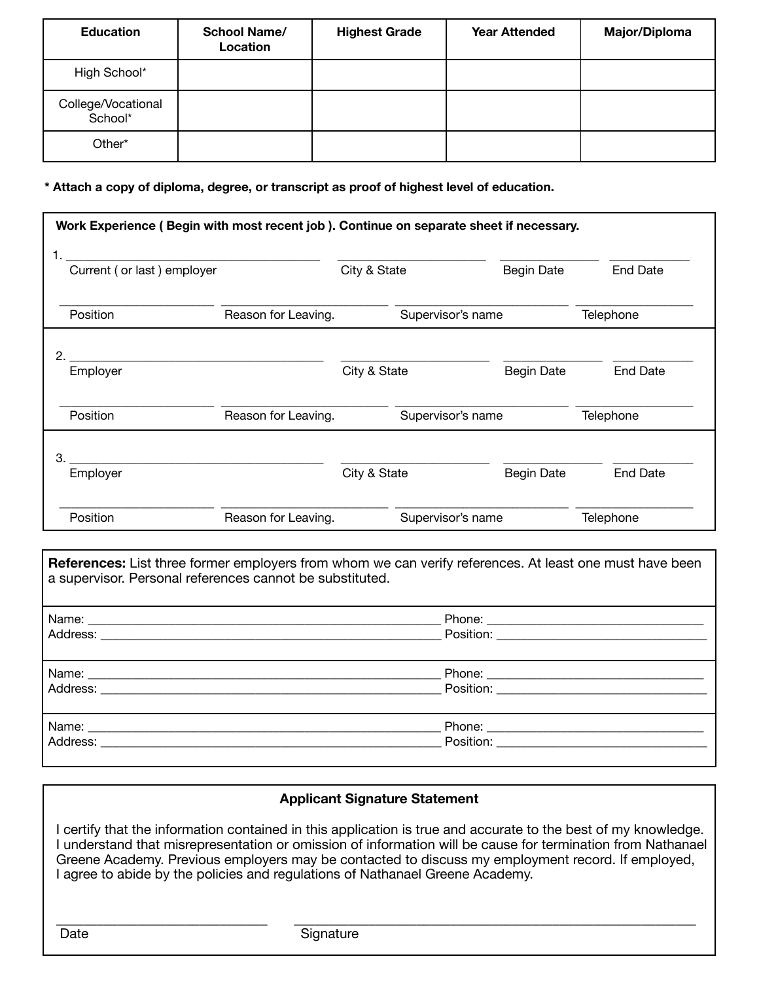| <b>Education</b>              | <b>School Name/</b><br>Location | <b>Highest Grade</b> | <b>Year Attended</b> | <b>Major/Diploma</b> |
|-------------------------------|---------------------------------|----------------------|----------------------|----------------------|
| High School*                  |                                 |                      |                      |                      |
| College/Vocational<br>School* |                                 |                      |                      |                      |
| Other*                        |                                 |                      |                      |                      |

**\* Attach a copy of diploma, degree, or transcript as proof of highest level of education.**

| Work Experience (Begin with most recent job). Continue on separate sheet if necessary. |                     |              |                   |                   |                 |
|----------------------------------------------------------------------------------------|---------------------|--------------|-------------------|-------------------|-----------------|
| Current (or last) employer                                                             |                     | City & State |                   | <b>Begin Date</b> | <b>End Date</b> |
| Position                                                                               | Reason for Leaving. |              | Supervisor's name |                   | Telephone       |
| Employer                                                                               |                     | City & State |                   | <b>Begin Date</b> | <b>End Date</b> |
| Position                                                                               | Reason for Leaving. |              | Supervisor's name |                   | Telephone       |
| 3.<br>Employer                                                                         |                     | City & State |                   | <b>Begin Date</b> | <b>End Date</b> |
| Position                                                                               | Reason for Leaving. |              | Supervisor's name |                   | Telephone       |

**References:** List three former employers from whom we can verify references. At least one must have been a supervisor. Personal references cannot be substituted. Name: \_\_\_\_\_\_\_\_\_\_\_\_\_\_\_\_\_\_\_\_\_\_\_\_\_\_\_\_\_\_\_\_\_\_\_\_\_\_\_\_\_\_\_\_\_\_\_\_\_\_\_\_\_\_\_\_\_ Phone: \_\_\_\_\_\_\_\_\_\_\_\_\_\_\_\_\_\_\_\_\_\_\_\_\_\_\_\_\_\_\_\_\_\_\_ Address: \_\_\_\_\_\_\_\_\_\_\_\_\_\_\_\_\_\_\_\_\_\_\_\_\_\_\_\_\_\_\_\_\_\_\_\_\_\_\_\_\_\_\_\_\_\_\_\_\_\_\_\_\_\_\_ Position: \_\_\_\_\_\_\_\_\_\_\_\_\_\_\_\_\_\_\_\_\_\_\_\_\_\_\_\_\_\_\_\_\_\_ Name: \_\_\_\_\_\_\_\_\_\_\_\_\_\_\_\_\_\_\_\_\_\_\_\_\_\_\_\_\_\_\_\_\_\_\_\_\_\_\_\_\_\_\_\_\_\_\_\_\_\_\_\_\_\_\_\_\_ Phone: \_\_\_\_\_\_\_\_\_\_\_\_\_\_\_\_\_\_\_\_\_\_\_\_\_\_\_\_\_\_\_\_\_\_\_ Address: \_\_\_\_\_\_\_\_\_\_\_\_\_\_\_\_\_\_\_\_\_\_\_\_\_\_\_\_\_\_\_\_\_\_\_\_\_\_\_\_\_\_\_\_\_\_\_\_\_\_\_\_\_\_\_ Position: \_\_\_\_\_\_\_\_\_\_\_\_\_\_\_\_\_\_\_\_\_\_\_\_\_\_\_\_\_\_\_\_\_\_ Name: \_\_\_\_\_\_\_\_\_\_\_\_\_\_\_\_\_\_\_\_\_\_\_\_\_\_\_\_\_\_\_\_\_\_\_\_\_\_\_\_\_\_\_\_\_\_\_\_\_\_\_\_\_\_\_\_\_ Phone: \_\_\_\_\_\_\_\_\_\_\_\_\_\_\_\_\_\_\_\_\_\_\_\_\_\_\_\_\_\_\_\_\_\_\_ Address: \_\_\_\_\_\_\_\_\_\_\_\_\_\_\_\_\_\_\_\_\_\_\_\_\_\_\_\_\_\_\_\_\_\_\_\_\_\_\_\_\_\_\_\_\_\_\_\_\_\_\_\_\_\_\_ Position: \_\_\_\_\_\_\_\_\_\_\_\_\_\_\_\_\_\_\_\_\_\_\_\_\_\_\_\_\_\_\_\_\_\_

## **Applicant Signature Statement**

 I certify that the information contained in this application is true and accurate to the best of my knowledge. I understand that misrepresentation or omission of information will be cause for termination from Nathanael Greene Academy. Previous employers may be contacted to discuss my employment record. If employed, I agree to abide by the policies and regulations of Nathanael Greene Academy.

 $\overline{\phantom{a}}$  , and the contribution of the contribution of the contribution of the contribution of the contribution of the contribution of the contribution of the contribution of the contribution of the contribution of the

Date Signature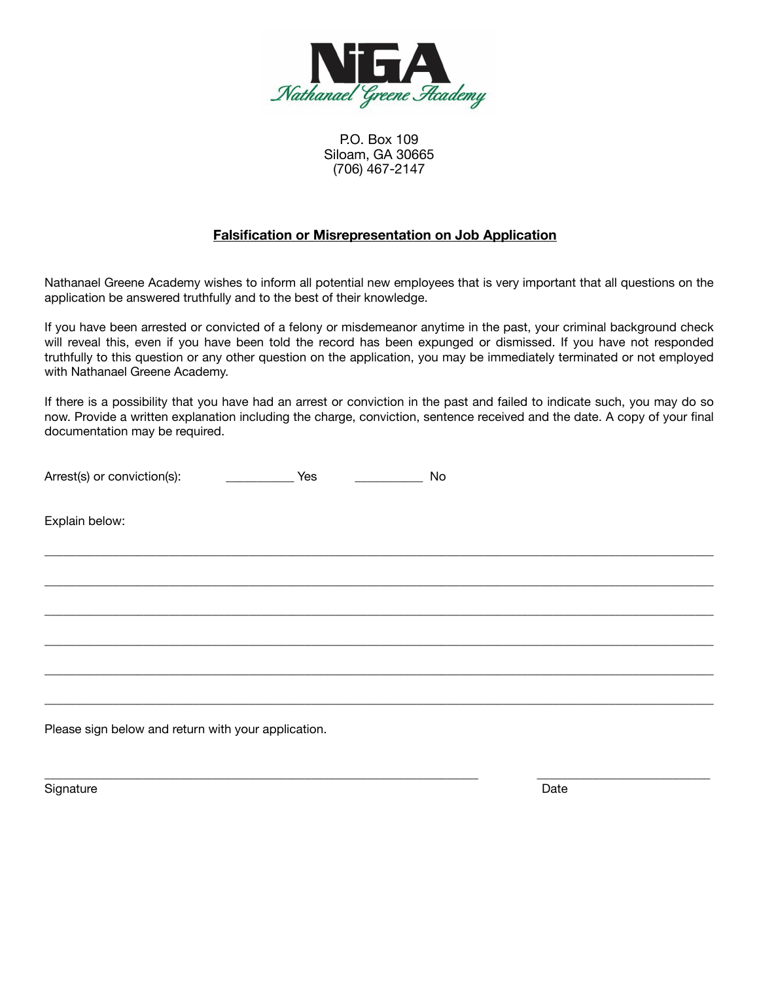

P.O. Box 109 Siloam, GA 30665 (706) 467-2147

### **Falsification or Misrepresentation on Job Application**

Nathanael Greene Academy wishes to inform all potential new employees that is very important that all questions on the application be answered truthfully and to the best of their knowledge.

If you have been arrested or convicted of a felony or misdemeanor anytime in the past, your criminal background check will reveal this, even if you have been told the record has been expunged or dismissed. If you have not responded truthfully to this question or any other question on the application, you may be immediately terminated or not employed with Nathanael Greene Academy.

If there is a possibility that you have had an arrest or conviction in the past and failed to indicate such, you may do so now. Provide a written explanation including the charge, conviction, sentence received and the date. A copy of your final documentation may be required.

\_\_\_\_\_\_\_\_\_\_\_\_\_\_\_\_\_\_\_\_\_\_\_\_\_\_\_\_\_\_\_\_\_\_\_\_\_\_\_\_\_\_\_\_\_\_\_\_\_\_\_\_\_\_\_\_\_\_\_\_\_\_\_\_\_\_\_\_\_\_\_\_\_\_\_\_\_\_\_\_\_\_\_\_\_\_\_\_\_\_\_\_\_\_\_\_\_\_\_\_\_\_\_\_\_\_\_\_

\_\_\_\_\_\_\_\_\_\_\_\_\_\_\_\_\_\_\_\_\_\_\_\_\_\_\_\_\_\_\_\_\_\_\_\_\_\_\_\_\_\_\_\_\_\_\_\_\_\_\_\_\_\_\_\_\_\_\_\_\_\_\_\_\_\_\_\_\_\_\_\_\_\_\_\_\_\_\_\_\_\_\_\_\_\_\_\_\_\_\_\_\_\_\_\_\_\_\_\_\_\_\_\_\_\_\_\_

\_\_\_\_\_\_\_\_\_\_\_\_\_\_\_\_\_\_\_\_\_\_\_\_\_\_\_\_\_\_\_\_\_\_\_\_\_\_\_\_\_\_\_\_\_\_\_\_\_\_\_\_\_\_\_\_\_\_\_\_\_\_\_\_\_\_\_\_\_\_\_\_\_\_\_\_\_\_\_\_\_\_\_\_\_\_\_\_\_\_\_\_\_\_\_\_\_\_\_\_\_\_\_\_\_\_\_\_

\_\_\_\_\_\_\_\_\_\_\_\_\_\_\_\_\_\_\_\_\_\_\_\_\_\_\_\_\_\_\_\_\_\_\_\_\_\_\_\_\_\_\_\_\_\_\_\_\_\_\_\_\_\_\_\_\_\_\_\_\_\_\_\_\_\_\_\_\_\_\_\_\_\_\_\_\_\_\_\_\_\_\_\_\_\_\_\_\_\_\_\_\_\_\_\_\_\_\_\_\_\_\_\_\_\_\_\_

\_\_\_\_\_\_\_\_\_\_\_\_\_\_\_\_\_\_\_\_\_\_\_\_\_\_\_\_\_\_\_\_\_\_\_\_\_\_\_\_\_\_\_\_\_\_\_\_\_\_\_\_\_\_\_\_\_\_\_\_\_\_\_\_\_\_\_\_\_\_\_\_\_\_\_\_\_\_\_\_\_\_\_\_\_\_\_\_\_\_\_\_\_\_\_\_\_\_\_\_\_\_\_\_\_\_\_\_

\_\_\_\_\_\_\_\_\_\_\_\_\_\_\_\_\_\_\_\_\_\_\_\_\_\_\_\_\_\_\_\_\_\_\_\_\_\_\_\_\_\_\_\_\_\_\_\_\_\_\_\_\_\_\_\_\_\_\_\_\_\_\_\_\_\_\_\_\_\_\_\_\_\_\_\_\_\_\_\_\_\_\_\_\_\_\_\_\_\_\_\_\_\_\_\_\_\_\_\_\_\_\_\_\_\_\_\_

\_\_\_\_\_\_\_\_\_\_\_\_\_\_\_\_\_\_\_\_\_\_\_\_\_\_\_\_\_\_\_\_\_\_\_\_\_\_\_\_\_\_\_\_\_\_\_\_\_\_\_\_\_\_\_\_\_\_\_\_\_\_\_\_\_\_\_\_\_\_ \_\_\_\_\_\_\_\_\_\_\_\_\_\_\_\_\_\_\_\_\_\_\_\_\_\_\_\_

| Arrest(s) or conviction(s): |  |
|-----------------------------|--|
|                             |  |

Explain below:

Please sign below and return with your application.

Signature **Date**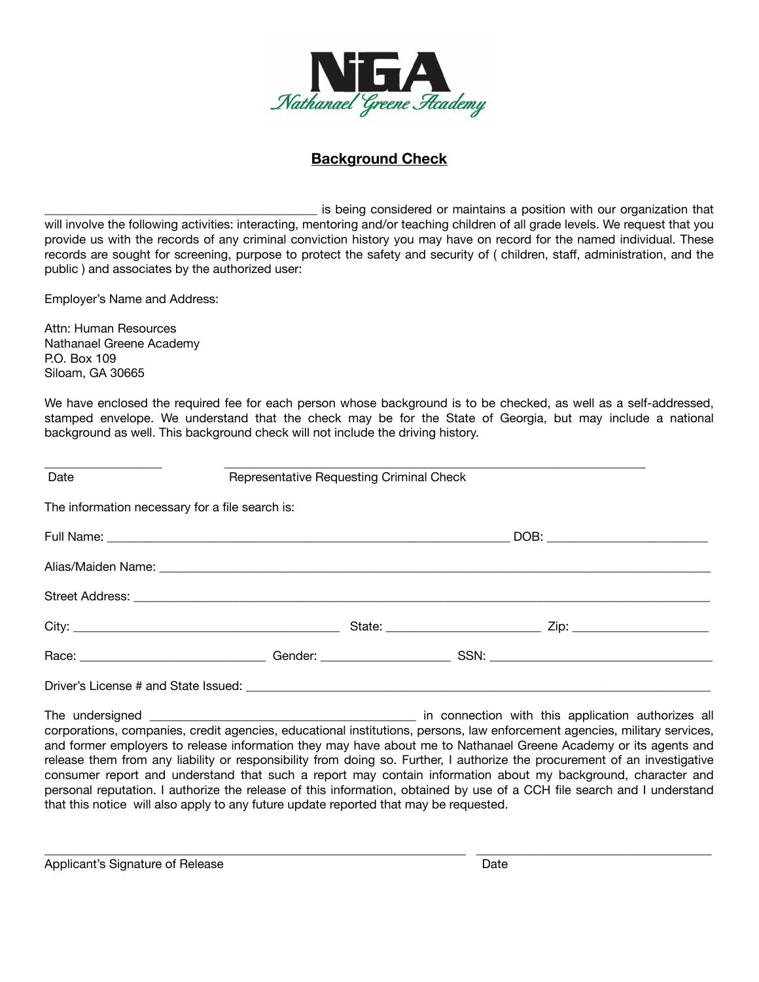

# **Background Check**

\_\_\_\_\_\_\_\_\_\_\_\_\_\_\_\_\_\_\_\_\_\_\_\_\_\_\_\_\_\_\_\_\_\_\_\_\_\_\_\_\_\_\_\_ is being considered or maintains a position with our organization that will involve the following activities: interacting, mentoring and/or teaching children of all grade levels. We request that you provide us with the records of any criminal conviction history you may have on record for the named individual. These records are sought for screening, purpose to protect the safety and security of ( children, staff, administration, and the public ) and associates by the authorized user:

Employer's Name and Address:

Attn: Human Resources Nathanael Greene Academy P.O. Box 109 Siloam, GA 30665

We have enclosed the required fee for each person whose background is to be checked, as well as a self-addressed, stamped envelope. We understand that the check may be for the State of Georgia, but may include a national background as well. This background check will not include the driving history.

| Date                                            | Representative Requesting Criminal Check |  |                                                                                                                 |  |
|-------------------------------------------------|------------------------------------------|--|-----------------------------------------------------------------------------------------------------------------|--|
| The information necessary for a file search is: |                                          |  |                                                                                                                 |  |
|                                                 |                                          |  |                                                                                                                 |  |
|                                                 |                                          |  |                                                                                                                 |  |
|                                                 |                                          |  |                                                                                                                 |  |
|                                                 |                                          |  | State: 2008. 2010. 2010. 2010. 2010. 2010. 2010. 2010. 2010. 2010. 2010. 2010. 2010. 2010. 2010. 2010. 2010. 20 |  |
|                                                 |                                          |  |                                                                                                                 |  |
|                                                 |                                          |  |                                                                                                                 |  |
| The undersianed                                 |                                          |  | in connection with this application authorizes all                                                              |  |

 $\_$  in connection with this application authorizes all corporations, companies, credit agencies, educational institutions, persons, law enforcement agencies, military services, and former employers to release information they may have about me to Nathanael Greene Academy or its agents and release them from any liability or responsibility from doing so. Further, I authorize the procurement of an investigative consumer report and understand that such a report may contain information about my background, character and personal reputation. I authorize the release of this information, obtained by use of a CCH file search and I understand that this notice will also apply to any future update reported that may be requested.

\_\_\_\_\_\_\_\_\_\_\_\_\_\_\_\_\_\_\_\_\_\_\_\_\_\_\_\_\_\_\_\_\_\_\_\_\_\_\_\_\_\_\_\_\_\_\_\_\_\_\_\_\_\_\_\_\_\_\_\_\_\_\_\_\_\_\_\_ \_\_\_\_\_\_\_\_\_\_\_\_\_\_\_\_\_\_\_\_\_\_\_\_\_\_\_\_\_\_\_\_\_\_\_\_\_\_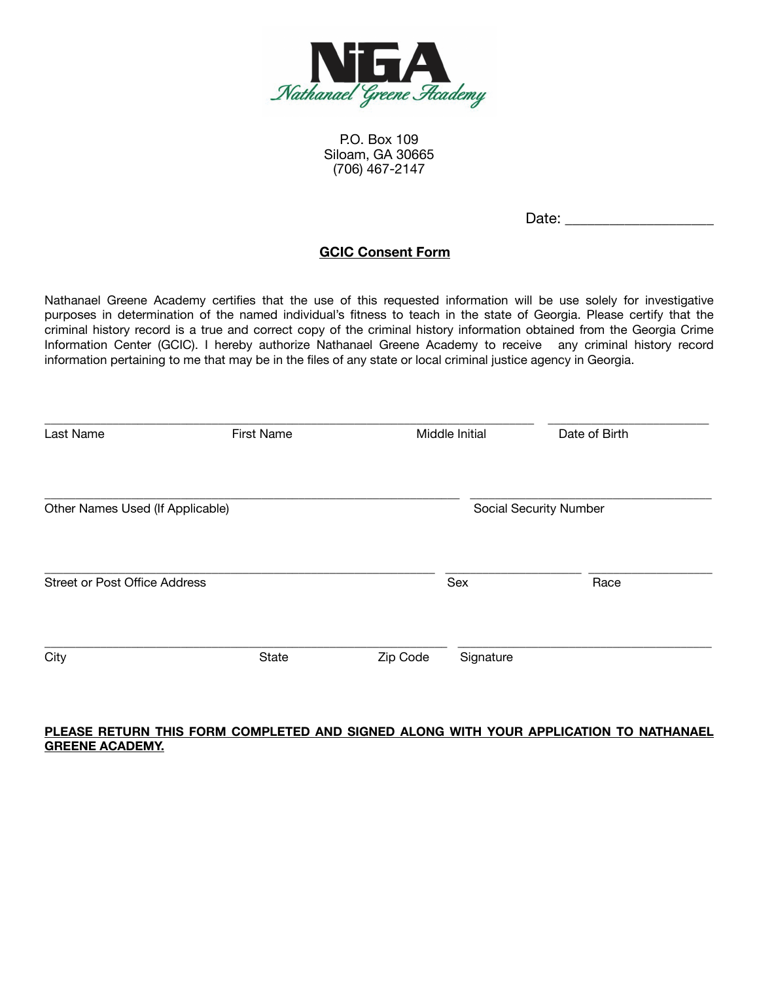

P.O. Box 109 Siloam, GA 30665 (706) 467-2147

Date:  $\Box$ 

# **GCIC Consent Form**

Nathanael Greene Academy certifies that the use of this requested information will be use solely for investigative purposes in determination of the named individual's fitness to teach in the state of Georgia. Please certify that the criminal history record is a true and correct copy of the criminal history information obtained from the Georgia Crime Information Center (GCIC). I hereby authorize Nathanael Greene Academy to receive any criminal history record information pertaining to me that may be in the files of any state or local criminal justice agency in Georgia.

| Last Name                            | <b>First Name</b> |          | Middle Initial | Date of Birth          |
|--------------------------------------|-------------------|----------|----------------|------------------------|
| Other Names Used (If Applicable)     |                   |          |                | Social Security Number |
| <b>Street or Post Office Address</b> |                   |          | Sex            | Race                   |
| City                                 | State             | Zip Code | Signature      |                        |

#### **PLEASE RETURN THIS FORM COMPLETED AND SIGNED ALONG WITH YOUR APPLICATION TO NATHANAEL GREENE ACADEMY.**